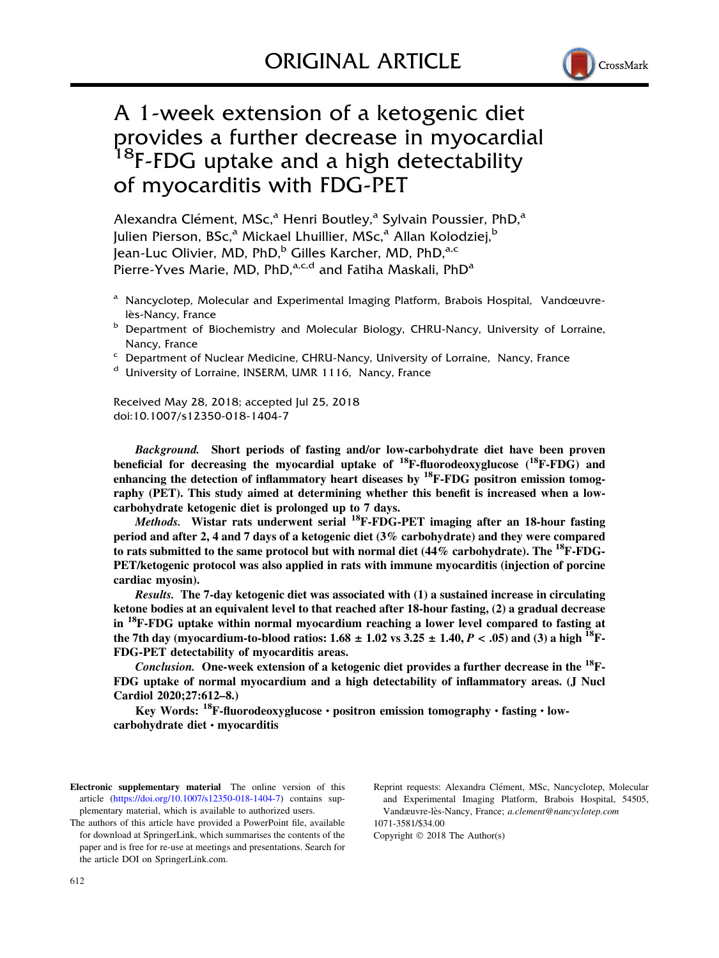

# A 1-week extension of a ketogenic diet provides a further decrease in myocardial <sup>18</sup>F-FDG uptake and a high detectability of myocarditis with FDG-PET

Alexandra Clément, MSc,<sup>a</sup> Henri Boutley,<sup>a</sup> Sylvain Poussier, PhD,<sup>a</sup> Julien Pierson, BSc,<sup>a</sup> Mickael Lhuillier, MSc,<sup>a</sup> Allan Kolodziei,<sup>b</sup> Jean-Luc Olivier, MD, PhD,<sup>b</sup> Gilles Karcher, MD, PhD,<sup>a,c</sup> Pierre-Yves Marie, MD, PhD,<sup>a,c,d</sup> and Fatiha Maskali, PhD<sup>a</sup>

- <sup>a</sup> Nancyclotep, Molecular and Experimental Imaging Platform, Brabois Hospital, Vandœuvrelès-Nancy, France
- **b** Department of Biochemistry and Molecular Biology, CHRU-Nancy, University of Lorraine, Nancy, France
- Department of Nuclear Medicine, CHRU-Nancy, University of Lorraine, Nancy, France
- <sup>d</sup> University of Lorraine, INSERM, UMR 1116, Nancy, France

Received May 28, 2018; accepted Jul 25, 2018 doi:10.1007/s12350-018-1404-7

Background. Short periods of fasting and/or low-carbohydrate diet have been proven beneficial for decreasing the myocardial uptake of  $^{18}$ F-fluorodeoxyglucose ( $^{18}$ F-FDG) and enhancing the detection of inflammatory heart diseases by  ${}^{18}$ F-FDG positron emission tomography (PET). This study aimed at determining whether this benefit is increased when a lowcarbohydrate ketogenic diet is prolonged up to 7 days.

*Methods.* Wistar rats underwent serial  $^{18}$ F-FDG-PET imaging after an 18-hour fasting period and after 2, 4 and 7 days of a ketogenic diet (3% carbohydrate) and they were compared to rats submitted to the same protocol but with normal diet  $(44\%$  carbohydrate). The  $^{18}$ F-FDG-PET/ketogenic protocol was also applied in rats with immune myocarditis (injection of porcine cardiac myosin).

Results. The 7-day ketogenic diet was associated with (1) a sustained increase in circulating ketone bodies at an equivalent level to that reached after 18-hour fasting, (2) a gradual decrease in <sup>18</sup>F-FDG uptake within normal myocardium reaching a lower level compared to fasting at the 7th day (myocardium-to-blood ratios:  $1.68 \pm 1.02$  vs  $3.25 \pm 1.40$ ,  $P < .05$ ) and (3) a high <sup>18</sup>F-FDG-PET detectability of myocarditis areas.

Conclusion. One-week extension of a ketogenic diet provides a further decrease in the <sup>18</sup>F-FDG uptake of normal myocardium and a high detectability of inflammatory areas. (J Nucl Cardiol 2020;27:612–8.)

Key Words:  $^{18}$ F-fluorodeoxyglucose • positron emission tomography • fasting • low $carbohydrate$  diet  $\cdot$  myocarditis

Electronic supplementary material The online version of this article ([https://doi.org/10.1007/s12350-018-1404-7\)](https://doi.org/10.1007/s12350-018-1404-7) contains supplementary material, which is available to authorized users.

Reprint requests: Alexandra Clément, MSc, Nancyclotep, Molecular and Experimental Imaging Platform, Brabois Hospital, 54505, Vandæuvre-lès-Nancy, France; a.clement@nancyclotep.com 1071-3581/\$34.00

Copyright  $\odot$  2018 The Author(s)

The authors of this article have provided a PowerPoint file, available for download at SpringerLink, which summarises the contents of the paper and is free for re-use at meetings and presentations. Search for the article DOI on SpringerLink.com.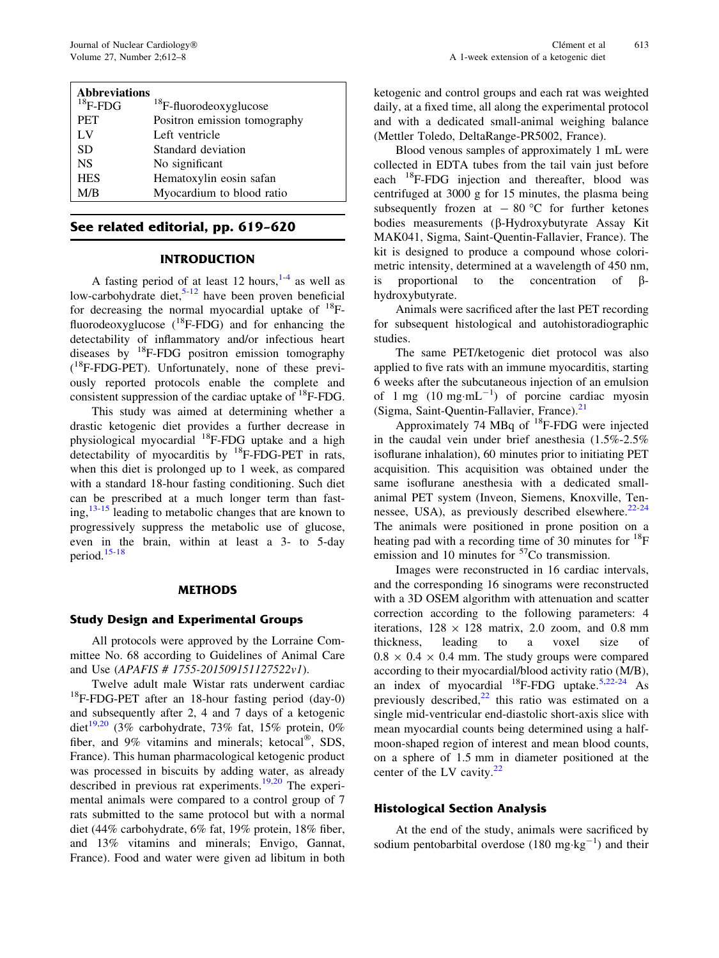| <b>Abbreviations</b> |                                    |
|----------------------|------------------------------------|
| $^{18}$ F-FDG        | <sup>18</sup> F-fluorodeoxyglucose |
| <b>PET</b>           | Positron emission tomography       |
| LV                   | Left ventricle                     |
| <b>SD</b>            | Standard deviation                 |
| <b>NS</b>            | No significant                     |
| <b>HES</b>           | Hematoxylin eosin safan            |
| M/B                  | Myocardium to blood ratio          |

# See related editorial, pp. 619–620

# INTRODUCTION

A fasting period of at least 12 hours,  $1-4$  as well as low-carbohydrate diet, $5-12$  have been proven beneficial for decreasing the normal myocardial uptake of  $^{18}$ Ffluorodeoxyglucose  $(^{18}F-FDG)$  and for enhancing the detectability of inflammatory and/or infectious heart diseases by  $^{18}$ F-FDG positron emission tomography ( 18F-FDG-PET). Unfortunately, none of these previously reported protocols enable the complete and consistent suppression of the cardiac uptake of  $^{18}$ F-FDG.

This study was aimed at determining whether a drastic ketogenic diet provides a further decrease in physiological myocardial 18F-FDG uptake and a high detectability of myocarditis by  ${}^{18}$ F-FDG-PET in rats, when this diet is prolonged up to 1 week, as compared with a standard 18-hour fasting conditioning. Such diet can be prescribed at a much longer term than fasting, $13-15$  leading to metabolic changes that are known to progressively suppress the metabolic use of glucose, even in the brain, within at least a 3- to 5-day period.[15](#page-5-0)-[18](#page-6-0)

# METHODS

# Study Design and Experimental Groups

All protocols were approved by the Lorraine Committee No. 68 according to Guidelines of Animal Care and Use (APAFIS # 1755-201509151127522v1).

Twelve adult male Wistar rats underwent cardiac  $18$ F-FDG-PET after an 18-hour fasting period (day-0) and subsequently after 2, 4 and 7 days of a ketogenic diet<sup>[19,20](#page-6-0)</sup> (3% carbohydrate, 73% fat, 15% protein, 0% fiber, and 9% vitamins and minerals; ketocal<sup>®</sup>, SDS, France). This human pharmacological ketogenic product was processed in biscuits by adding water, as already described in previous rat experiments.[19,20](#page-6-0) The experimental animals were compared to a control group of 7 rats submitted to the same protocol but with a normal diet (44% carbohydrate, 6% fat, 19% protein, 18% fiber, and 13% vitamins and minerals; Envigo, Gannat, France). Food and water were given ad libitum in both ketogenic and control groups and each rat was weighted daily, at a fixed time, all along the experimental protocol and with a dedicated small-animal weighing balance (Mettler Toledo, DeltaRange-PR5002, France).

Blood venous samples of approximately 1 mL were collected in EDTA tubes from the tail vain just before each <sup>18</sup>F-FDG injection and thereafter, blood was centrifuged at 3000 g for 15 minutes, the plasma being subsequently frozen at  $-80$  °C for further ketones bodies measurements (β-Hydroxybutyrate Assay Kit MAK041, Sigma, Saint-Quentin-Fallavier, France). The kit is designed to produce a compound whose colorimetric intensity, determined at a wavelength of 450 nm, is proportional to the concentration of  $\beta$ hydroxybutyrate.

Animals were sacrificed after the last PET recording for subsequent histological and autohistoradiographic studies.

The same PET/ketogenic diet protocol was also applied to five rats with an immune myocarditis, starting 6 weeks after the subcutaneous injection of an emulsion of 1 mg  $(10 \text{ mg} \cdot \text{mL}^{-1})$  of porcine cardiac myosin (Sigma, Saint-Quentin-Fallavier, France).<sup>[21](#page-6-0)</sup>

Approximately 74 MBq of  $^{18}$ F-FDG were injected in the caudal vein under brief anesthesia (1.5%-2.5% isoflurane inhalation), 60 minutes prior to initiating PET acquisition. This acquisition was obtained under the same isoflurane anesthesia with a dedicated smallanimal PET system (Inveon, Siemens, Knoxville, Tennessee, USA), as previously described elsewhere. $22-24$  $22-24$  $22-24$ The animals were positioned in prone position on a heating pad with a recording time of 30 minutes for  $^{18}F$ emission and 10 minutes for  $57$ Co transmission.

Images were reconstructed in 16 cardiac intervals, and the corresponding 16 sinograms were reconstructed with a 3D OSEM algorithm with attenuation and scatter correction according to the following parameters: 4 iterations,  $128 \times 128$  matrix, 2.0 zoom, and 0.8 mm thickness, leading to a voxel size of  $0.8 \times 0.4 \times 0.4$  mm. The study groups were compared according to their myocardial/blood activity ratio (M/B), an index of myocardial  $^{18}$ F-FDG uptake.<sup>[5](#page-5-0)[,22-24](#page-6-0)</sup> As previously described, $^{22}$  $^{22}$  $^{22}$  this ratio was estimated on a single mid-ventricular end-diastolic short-axis slice with mean myocardial counts being determined using a halfmoon-shaped region of interest and mean blood counts, on a sphere of 1.5 mm in diameter positioned at the center of the LV cavity. $22$ 

# Histological Section Analysis

At the end of the study, animals were sacrificed by sodium pentobarbital overdose  $(180 \text{ mg} \cdot \text{kg}^{-1})$  and their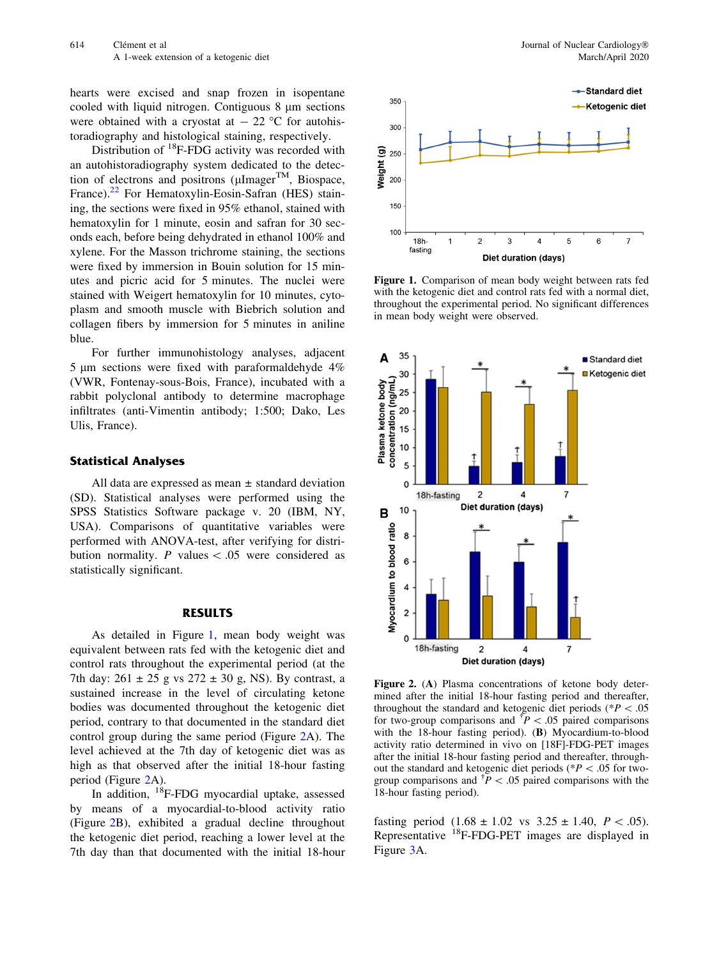hearts were excised and snap frozen in isopentane cooled with liquid nitrogen. Contiguous  $8 \mu m$  sections were obtained with a cryostat at  $-22$  °C for autohistoradiography and histological staining, respectively.

Distribution of  $^{18}$ F-FDG activity was recorded with an autohistoradiography system dedicated to the detection of electrons and positrons ( $\mu$ Imager<sup>TM</sup>, Biospace, France).<sup>[22](#page-6-0)</sup> For Hematoxylin-Eosin-Safran (HES) staining, the sections were fixed in 95% ethanol, stained with hematoxylin for 1 minute, eosin and safran for 30 seconds each, before being dehydrated in ethanol 100% and xylene. For the Masson trichrome staining, the sections were fixed by immersion in Bouin solution for 15 minutes and picric acid for 5 minutes. The nuclei were stained with Weigert hematoxylin for 10 minutes, cytoplasm and smooth muscle with Biebrich solution and collagen fibers by immersion for 5 minutes in aniline blue.

For further immunohistology analyses, adjacent 5 lm sections were fixed with paraformaldehyde 4% (VWR, Fontenay-sous-Bois, France), incubated with a rabbit polyclonal antibody to determine macrophage infiltrates (anti-Vimentin antibody; 1:500; Dako, Les Ulis, France).

# Statistical Analyses

All data are expressed as mean  $\pm$  standard deviation (SD). Statistical analyses were performed using the SPSS Statistics Software package v. 20 (IBM, NY, USA). Comparisons of quantitative variables were performed with ANOVA-test, after verifying for distribution normality. P values  $\lt$  0.05 were considered as statistically significant.

#### RESULTS

As detailed in Figure 1, mean body weight was equivalent between rats fed with the ketogenic diet and control rats throughout the experimental period (at the 7th day:  $261 \pm 25$  g vs  $272 \pm 30$  g, NS). By contrast, a sustained increase in the level of circulating ketone bodies was documented throughout the ketogenic diet period, contrary to that documented in the standard diet control group during the same period (Figure 2A). The level achieved at the 7th day of ketogenic diet was as high as that observed after the initial 18-hour fasting period (Figure 2A).

In addition, 18F-FDG myocardial uptake, assessed by means of a myocardial-to-blood activity ratio (Figure 2B), exhibited a gradual decline throughout the ketogenic diet period, reaching a lower level at the 7th day than that documented with the initial 18-hour





Figure 1. Comparison of mean body weight between rats fed with the ketogenic diet and control rats fed with a normal diet, throughout the experimental period. No significant differences in mean body weight were observed.



Figure 2. (A) Plasma concentrations of ketone body determined after the initial 18-hour fasting period and thereafter, throughout the standard and ketogenic diet periods ( $*P < .05$ ) for two-group comparisons and  $\overline{P}$  < .05 paired comparisons with the 18-hour fasting period). (B) Myocardium-to-blood activity ratio determined in vivo on [18F]-FDG-PET images after the initial 18-hour fasting period and thereafter, throughout the standard and ketogenic diet periods ( $P \lt .05$  for twogroup comparisons and  $\overline{P}$  < .05 paired comparisons with the 18-hour fasting period).

fasting period  $(1.68 \pm 1.02 \text{ vs } 3.25 \pm 1.40, P < .05).$ Representative  $^{18}$ F-FDG-PET images are displayed in Figure [3](#page-3-0)A.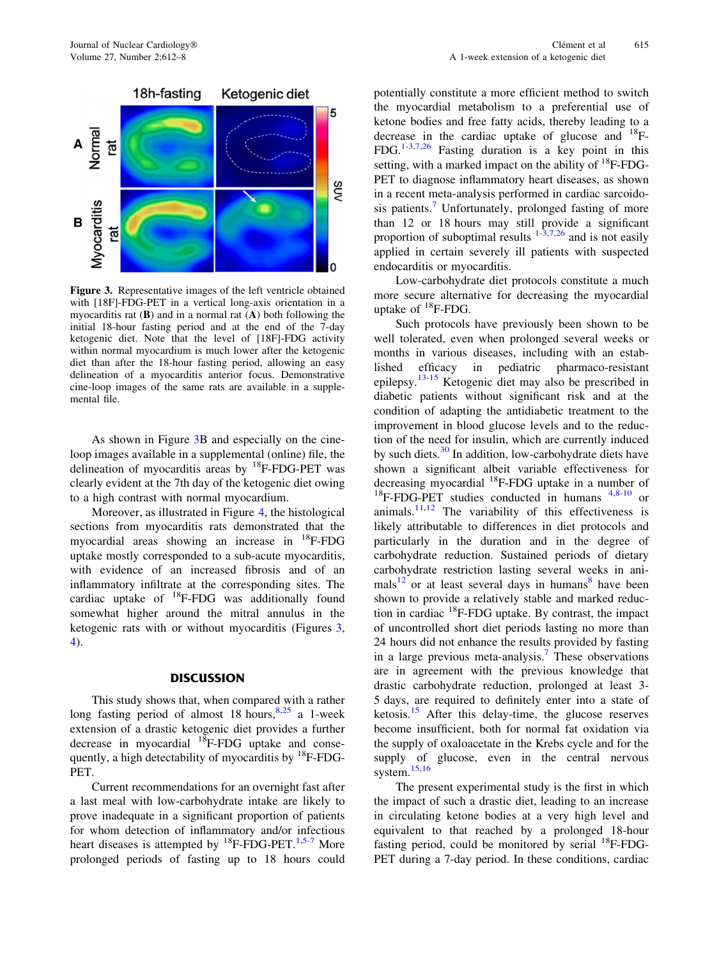<span id="page-3-0"></span>

Figure 3. Representative images of the left ventricle obtained with [18F]-FDG-PET in a vertical long-axis orientation in a myocarditis rat  $(B)$  and in a normal rat  $(A)$  both following the initial 18-hour fasting period and at the end of the 7-day ketogenic diet. Note that the level of [18F]-FDG activity within normal myocardium is much lower after the ketogenic diet than after the 18-hour fasting period, allowing an easy delineation of a myocarditis anterior focus. Demonstrative cine-loop images of the same rats are available in a supplemental file.

As shown in Figure 3B and especially on the cineloop images available in a supplemental (online) file, the delineation of myocarditis areas by  ${}^{18}$ F-FDG-PET was clearly evident at the 7th day of the ketogenic diet owing to a high contrast with normal myocardium.

Moreover, as illustrated in Figure [4](#page-4-0), the histological sections from myocarditis rats demonstrated that the myocardial areas showing an increase in 18F-FDG uptake mostly corresponded to a sub-acute myocarditis, with evidence of an increased fibrosis and of an inflammatory infiltrate at the corresponding sites. The cardiac uptake of 18F-FDG was additionally found somewhat higher around the mitral annulus in the ketogenic rats with or without myocarditis (Figures 3, [4\)](#page-4-0).

# **DISCUSSION**

This study shows that, when compared with a rather long fasting period of almost 1[8](#page-5-0) hours,  $8,25$  $8,25$  a 1-week extension of a drastic ketogenic diet provides a further decrease in myocardial  $^{18}$ F-FDG uptake and consequently, a high detectability of myocarditis by  ${}^{18}F$ -FDG-PET.

Current recommendations for an overnight fast after a last meal with low-carbohydrate intake are likely to prove inadequate in a significant proportion of patients for whom detection of inflammatory and/or infectious heart diseases is attempted by  $^{18}$ F-FDG-PET.<sup>1,[5-7](#page-5-0)</sup> More prolonged periods of fasting up to 18 hours could potentially constitute a more efficient method to switch the myocardial metabolism to a preferential use of ketone bodies and free fatty acids, thereby leading to a decrease in the cardiac uptake of glucose and  $^{18}$ F-FDG.<sup>[1](#page-5-0)-[3,7,](#page-5-0)[26](#page-6-0)</sup> Fasting duration is a key point in this setting, with a marked impact on the ability of  $^{18}$ F-FDG-PET to diagnose inflammatory heart diseases, as shown in a recent meta-analysis performed in cardiac sarcoido-sis patients.<sup>[7](#page-5-0)</sup> Unfortunately, prolonged fasting of more than 12 or 18 hours may still provide a significant proportion of suboptimal results  $1-\frac{3}{7}$ , 26 and is not easily applied in certain severely ill patients with suspected endocarditis or myocarditis.

Low-carbohydrate diet protocols constitute a much more secure alternative for decreasing the myocardial uptake of  $^{18}$ F-FDG.

Such protocols have previously been shown to be well tolerated, even when prolonged several weeks or months in various diseases, including with an established efficacy in pediatric pharmaco-resistant epilepsy.<sup>[13](#page-5-0)-[15](#page-5-0)</sup> Ketogenic diet may also be prescribed in diabetic patients without significant risk and at the condition of adapting the antidiabetic treatment to the improvement in blood glucose levels and to the reduction of the need for insulin, which are currently induced by such diets.<sup>[30](#page-6-0)</sup> In addition, low-carbohydrate diets have shown a significant albeit variable effectiveness for decreasing myocardial  $^{18}$ F-FDG uptake in a number of  $^{18}$ F-FDG-PET studies conducted in humans  $^{4,8-10}$  $^{4,8-10}$  $^{4,8-10}$  $^{4,8-10}$  $^{4,8-10}$  or animals. $11,12$  The variability of this effectiveness is likely attributable to differences in diet protocols and particularly in the duration and in the degree of carbohydrate reduction. Sustained periods of dietary carbohydrate restriction lasting several weeks in ani-mals<sup>[12](#page-5-0)</sup> or at least several days in humans<sup>[8](#page-5-0)</sup> have been shown to provide a relatively stable and marked reduction in cardiac  $^{18}$ F-FDG uptake. By contrast, the impact of uncontrolled short diet periods lasting no more than 24 hours did not enhance the results provided by fasting in a large previous meta-analysis.<sup>[7](#page-5-0)</sup> These observations are in agreement with the previous knowledge that drastic carbohydrate reduction, prolonged at least 3- 5 days, are required to definitely enter into a state of ketosis. $15$  After this delay-time, the glucose reserves become insufficient, both for normal fat oxidation via the supply of oxaloacetate in the Krebs cycle and for the supply of glucose, even in the central nervous system.<sup>[15,16](#page-5-0)</sup>

The present experimental study is the first in which the impact of such a drastic diet, leading to an increase in circulating ketone bodies at a very high level and equivalent to that reached by a prolonged 18-hour fasting period, could be monitored by serial  $^{18}$ F-FDG-PET during a 7-day period. In these conditions, cardiac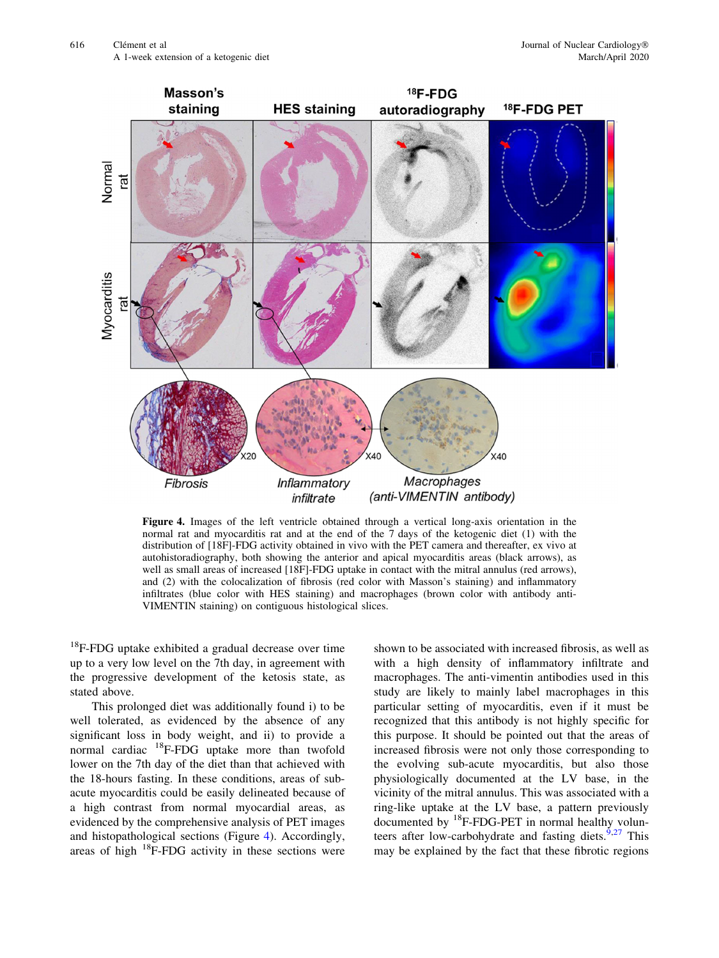<span id="page-4-0"></span>

Figure 4. Images of the left ventricle obtained through a vertical long-axis orientation in the normal rat and myocarditis rat and at the end of the 7 days of the ketogenic diet (1) with the distribution of [18F]-FDG activity obtained in vivo with the PET camera and thereafter, ex vivo at autohistoradiography, both showing the anterior and apical myocarditis areas (black arrows), as well as small areas of increased [18F]-FDG uptake in contact with the mitral annulus (red arrows), and (2) with the colocalization of fibrosis (red color with Masson's staining) and inflammatory infiltrates (blue color with HES staining) and macrophages (brown color with antibody anti-VIMENTIN staining) on contiguous histological slices.

 $18$ F-FDG uptake exhibited a gradual decrease over time up to a very low level on the 7th day, in agreement with the progressive development of the ketosis state, as stated above.

This prolonged diet was additionally found i) to be well tolerated, as evidenced by the absence of any significant loss in body weight, and ii) to provide a normal cardiac 18F-FDG uptake more than twofold lower on the 7th day of the diet than that achieved with the 18-hours fasting. In these conditions, areas of subacute myocarditis could be easily delineated because of a high contrast from normal myocardial areas, as evidenced by the comprehensive analysis of PET images and histopathological sections (Figure 4). Accordingly, areas of high 18F-FDG activity in these sections were

shown to be associated with increased fibrosis, as well as with a high density of inflammatory infiltrate and macrophages. The anti-vimentin antibodies used in this study are likely to mainly label macrophages in this particular setting of myocarditis, even if it must be recognized that this antibody is not highly specific for this purpose. It should be pointed out that the areas of increased fibrosis were not only those corresponding to the evolving sub-acute myocarditis, but also those physiologically documented at the LV base, in the vicinity of the mitral annulus. This was associated with a ring-like uptake at the LV base, a pattern previously documented by  ${}^{18}$ F-FDG-PET in normal healthy volun-teers after low-carbohydrate and fasting diets.<sup>[9,](#page-5-0)[27](#page-6-0)</sup> This may be explained by the fact that these fibrotic regions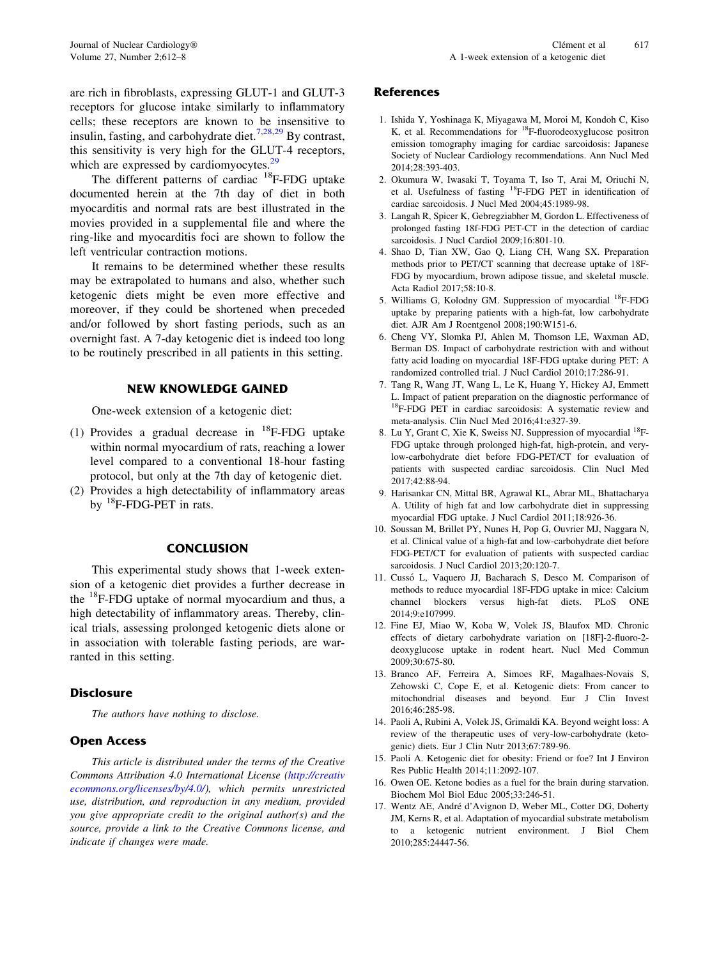<span id="page-5-0"></span>are rich in fibroblasts, expressing GLUT-1 and GLUT-3 receptors for glucose intake similarly to inflammatory cells; these receptors are known to be insensitive to insulin, fasting, and carbohydrate diet.<sup>7[,28,29](#page-6-0)</sup> By contrast, this sensitivity is very high for the GLUT-4 receptors, which are expressed by cardiomyocytes.<sup>[29](#page-6-0)</sup>

The different patterns of cardiac <sup>18</sup>F-FDG uptake documented herein at the 7th day of diet in both myocarditis and normal rats are best illustrated in the movies provided in a supplemental file and where the ring-like and myocarditis foci are shown to follow the left ventricular contraction motions.

It remains to be determined whether these results may be extrapolated to humans and also, whether such ketogenic diets might be even more effective and moreover, if they could be shortened when preceded and/or followed by short fasting periods, such as an overnight fast. A 7-day ketogenic diet is indeed too long to be routinely prescribed in all patients in this setting.

# NEW KNOWLEDGE GAINED

One-week extension of a ketogenic diet:

- (1) Provides a gradual decrease in  $^{18}$ F-FDG uptake within normal myocardium of rats, reaching a lower level compared to a conventional 18-hour fasting protocol, but only at the 7th day of ketogenic diet.
- (2) Provides a high detectability of inflammatory areas by <sup>18</sup>F-FDG-PET in rats.

#### **CONCLUSION**

This experimental study shows that 1-week extension of a ketogenic diet provides a further decrease in the 18F-FDG uptake of normal myocardium and thus, a high detectability of inflammatory areas. Thereby, clinical trials, assessing prolonged ketogenic diets alone or in association with tolerable fasting periods, are warranted in this setting.

# **Disclosure**

The authors have nothing to disclose.

# Open Access

This article is distributed under the terms of the Creative Commons Attribution 4.0 International License ([http://creativ](http://creativecommons.org/licenses/by/4.0/) [ecommons.org/licenses/by/4.0/](http://creativecommons.org/licenses/by/4.0/)), which permits unrestricted use, distribution, and reproduction in any medium, provided you give appropriate credit to the original author(s) and the source, provide a link to the Creative Commons license, and indicate if changes were made.

#### **References**

- 1. Ishida Y, Yoshinaga K, Miyagawa M, Moroi M, Kondoh C, Kiso K, et al. Recommendations for  $^{18}$ F-fluorodeoxyglucose positron emission tomography imaging for cardiac sarcoidosis: Japanese Society of Nuclear Cardiology recommendations. Ann Nucl Med 2014;28:393-403.
- 2. Okumura W, Iwasaki T, Toyama T, Iso T, Arai M, Oriuchi N, et al. Usefulness of fasting 18F-FDG PET in identification of cardiac sarcoidosis. J Nucl Med 2004;45:1989-98.
- 3. Langah R, Spicer K, Gebregziabher M, Gordon L. Effectiveness of prolonged fasting 18f-FDG PET-CT in the detection of cardiac sarcoidosis. J Nucl Cardiol 2009;16:801-10.
- 4. Shao D, Tian XW, Gao Q, Liang CH, Wang SX. Preparation methods prior to PET/CT scanning that decrease uptake of 18F-FDG by myocardium, brown adipose tissue, and skeletal muscle. Acta Radiol 2017;58:10-8.
- 5. Williams G, Kolodny GM. Suppression of myocardial <sup>18</sup>F-FDG uptake by preparing patients with a high-fat, low carbohydrate diet. AJR Am J Roentgenol 2008;190:W151-6.
- 6. Cheng VY, Slomka PJ, Ahlen M, Thomson LE, Waxman AD, Berman DS. Impact of carbohydrate restriction with and without fatty acid loading on myocardial 18F-FDG uptake during PET: A randomized controlled trial. J Nucl Cardiol 2010;17:286-91.
- 7. Tang R, Wang JT, Wang L, Le K, Huang Y, Hickey AJ, Emmett L. Impact of patient preparation on the diagnostic performance of <sup>18</sup>F-FDG PET in cardiac sarcoidosis: A systematic review and meta-analysis. Clin Nucl Med 2016;41:e327-39.
- 8. Lu Y, Grant C, Xie K, Sweiss NJ. Suppression of myocardial <sup>18</sup>F-FDG uptake through prolonged high-fat, high-protein, and verylow-carbohydrate diet before FDG-PET/CT for evaluation of patients with suspected cardiac sarcoidosis. Clin Nucl Med 2017;42:88-94.
- 9. Harisankar CN, Mittal BR, Agrawal KL, Abrar ML, Bhattacharya A. Utility of high fat and low carbohydrate diet in suppressing myocardial FDG uptake. J Nucl Cardiol 2011;18:926-36.
- 10. Soussan M, Brillet PY, Nunes H, Pop G, Ouvrier MJ, Naggara N, et al. Clinical value of a high-fat and low-carbohydrate diet before FDG-PET/CT for evaluation of patients with suspected cardiac sarcoidosis. J Nucl Cardiol 2013;20:120-7.
- 11. Cussó L, Vaquero JJ, Bacharach S, Desco M. Comparison of methods to reduce myocardial 18F-FDG uptake in mice: Calcium channel blockers versus high-fat diets. PLoS ONE 2014;9:e107999.
- 12. Fine EJ, Miao W, Koba W, Volek JS, Blaufox MD. Chronic effects of dietary carbohydrate variation on [18F]-2-fluoro-2 deoxyglucose uptake in rodent heart. Nucl Med Commun 2009;30:675-80.
- 13. Branco AF, Ferreira A, Simoes RF, Magalhaes-Novais S, Zehowski C, Cope E, et al. Ketogenic diets: From cancer to mitochondrial diseases and beyond. Eur J Clin Invest 2016;46:285-98.
- 14. Paoli A, Rubini A, Volek JS, Grimaldi KA. Beyond weight loss: A review of the therapeutic uses of very-low-carbohydrate (ketogenic) diets. Eur J Clin Nutr 2013;67:789-96.
- 15. Paoli A. Ketogenic diet for obesity: Friend or foe? Int J Environ Res Public Health 2014;11:2092-107.
- 16. Owen OE. Ketone bodies as a fuel for the brain during starvation. Biochem Mol Biol Educ 2005;33:246-51.
- 17. Wentz AE, André d'Avignon D, Weber ML, Cotter DG, Doherty JM, Kerns R, et al. Adaptation of myocardial substrate metabolism to a ketogenic nutrient environment. J Biol Chem 2010;285:24447-56.